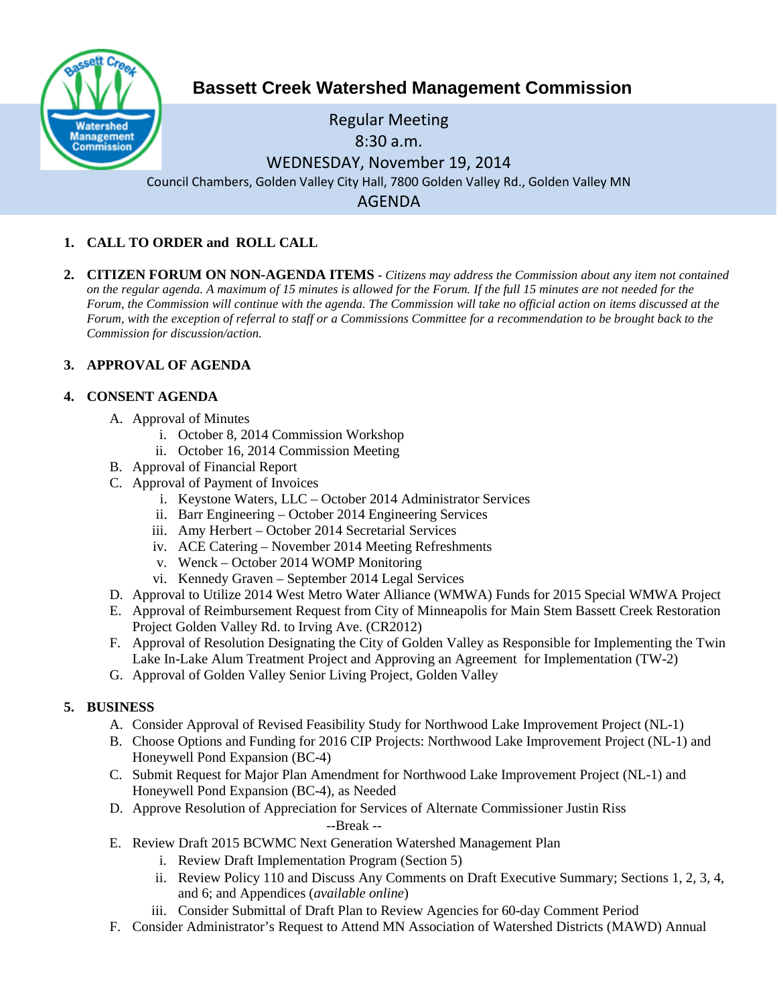

# **Bassett Creek Watershed Management Commission**

## Regular Meeting 8:30 a.m. WEDNESDAY, November 19, 2014 Council Chambers, Golden Valley City Hall, 7800 Golden Valley Rd., Golden Valley MN AGENDA

## **1. CALL TO ORDER and ROLL CALL**

**2. CITIZEN FORUM ON NON-AGENDA ITEMS -** *Citizens may address the Commission about any item not contained on the regular agenda. A maximum of 15 minutes is allowed for the Forum. If the full 15 minutes are not needed for the Forum, the Commission will continue with the agenda. The Commission will take no official action on items discussed at the Forum, with the exception of referral to staff or a Commissions Committee for a recommendation to be brought back to the Commission for discussion/action.*

## **3. APPROVAL OF AGENDA**

## **4. CONSENT AGENDA**

- A. Approval of Minutes
	- i. October 8, 2014 Commission Workshop
	- ii. October 16, 2014 Commission Meeting
- B. Approval of Financial Report
- C. Approval of Payment of Invoices
	- i. Keystone Waters, LLC October 2014 Administrator Services
	- ii. Barr Engineering October 2014 Engineering Services
	- iii. Amy Herbert October 2014 Secretarial Services
	- iv. ACE Catering November 2014 Meeting Refreshments
	- v. Wenck October 2014 WOMP Monitoring
	- vi. Kennedy Graven September 2014 Legal Services
- D. Approval to Utilize 2014 West Metro Water Alliance (WMWA) Funds for 2015 Special WMWA Project
- E. Approval of Reimbursement Request from City of Minneapolis for Main Stem Bassett Creek Restoration Project Golden Valley Rd. to Irving Ave. (CR2012)
- F. Approval of Resolution Designating the City of Golden Valley as Responsible for Implementing the Twin Lake In-Lake Alum Treatment Project and Approving an Agreement for Implementation (TW-2)
- G. Approval of Golden Valley Senior Living Project, Golden Valley

## **5. BUSINESS**

- A. Consider Approval of Revised Feasibility Study for Northwood Lake Improvement Project (NL-1)
- B. Choose Options and Funding for 2016 CIP Projects: Northwood Lake Improvement Project (NL-1) and Honeywell Pond Expansion (BC-4)
- C. Submit Request for Major Plan Amendment for Northwood Lake Improvement Project (NL-1) and Honeywell Pond Expansion (BC-4), as Needed
- D. Approve Resolution of Appreciation for Services of Alternate Commissioner Justin Riss --Break --
- E. Review Draft 2015 BCWMC Next Generation Watershed Management Plan
	- i. Review Draft Implementation Program (Section 5)
	- ii. Review Policy 110 and Discuss Any Comments on Draft Executive Summary; Sections 1, 2, 3, 4, and 6; and Appendices (*available online*)
	- iii. Consider Submittal of Draft Plan to Review Agencies for 60-day Comment Period
- F. Consider Administrator's Request to Attend MN Association of Watershed Districts (MAWD) Annual